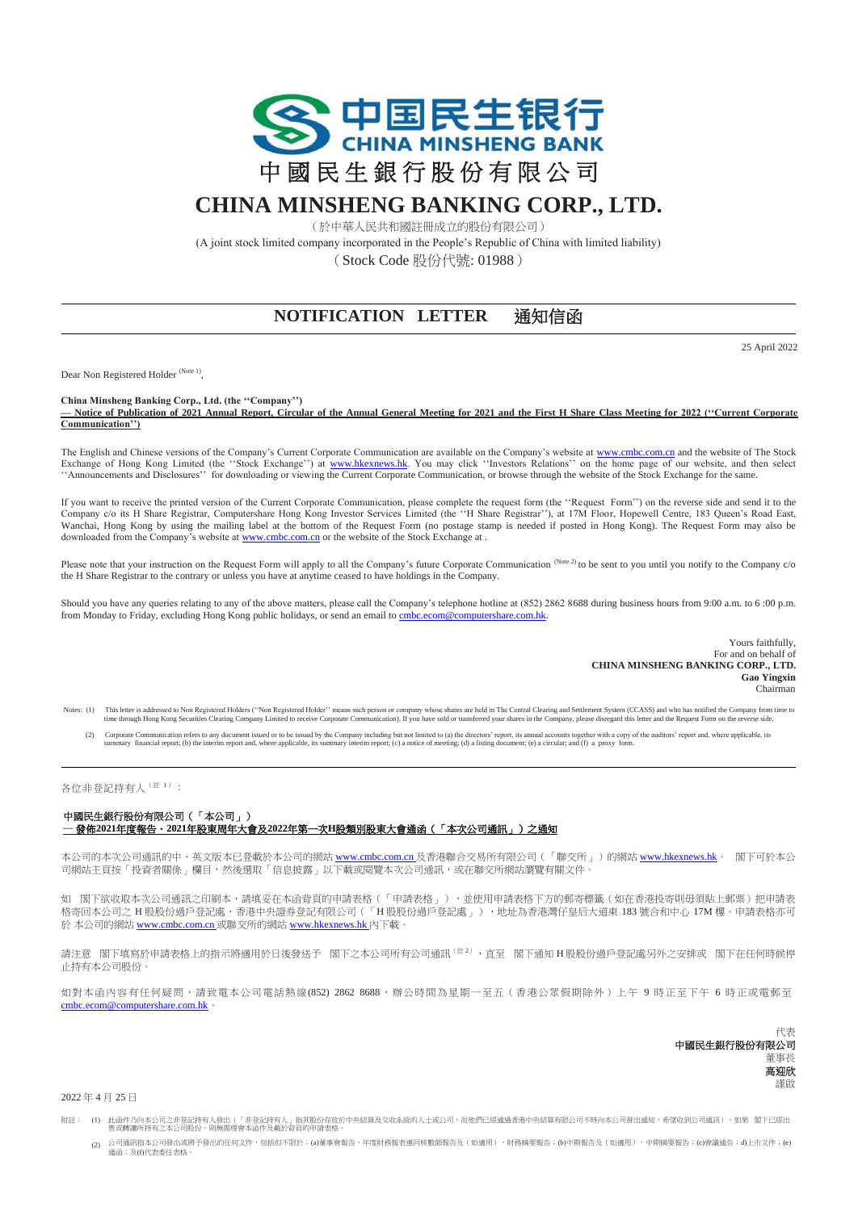

## **CHINA MINSHENG BANKING CORP., LTD.**

(於中華人民共和國註冊成立的股份有限公司)

(A joint stock limited company incorporated in the People's Republic of China with limited liability) (Stock Code 股份代號: 01988)

## **NOTIFICATION LETTER** 通知信函

25 April 2022

Dear Non Registered Holder<sup>(Note 1)</sup>,

**China Minsheng Banking Corp., Ltd. (the ''Company'')**

**— Notice of Publication of 2021 Annual Report, Circular of the Annual General Meeting for 2021 and the First H Share Class Meeting for 2022 (''Current Corporate Communication'')**

The English and Chinese versions of the Company's Current Corporate Communication are available on the Company's website a[t www.cmbc.com.cn](http://www.cmbc.com.cn/) and the website of The Stock Exchange of Hong Kong Limited (the "Stock Exchange") at [www.hkexnews.hk.](http://www.hkexnews.hk/) You may click "Investors Relations" on the home page of our website, and then select ''Announcements and Disclosures'' for downloading or viewing the Current Corporate Communication, or browse through the website of the Stock Exchange for the same.

If you want to receive the printed version of the Current Corporate Communication, please complete the request form (the ''Request Form'') on the reverse side and send it to the Company c/o its H Share Registrar, Computershare Hong Kong Investor Services Limited (the ''H Share Registrar''), at 17M Floor, Hopewell Centre, 183 Queen's Road East, Wanchai, Hong Kong by using the mailing label at the bottom of the Request Form (no postage stamp is needed if posted in Hong Kong). The Request Form may also be downloaded from the Company's website a[t www.cmbc.com.cn](http://www.cmbc.com.cn/) or the website of the Stock Exchange a[t .](http://www.hkexnews.hk/)

Please note that your instruction on the Request Form will apply to all the Company's future Corporate Communication (Note 2) to be sent to you until you notify to the Company c/o the H Share Registrar to the contrary or unless you have at anytime ceased to have holdings in the Company.

Should you have any queries relating to any of the above matters, please call the Company's telephone hotline at (852) 2862 8688 during business hours from 9:00 a.m. to 6 :00 p.m. from Monday to Friday, excluding Hong Kong public holidays, or send an email to cmbc.ecom@computershare.com.hk

> Yours faithfully, For and on behalf of **CHINA MINSHENG BANKING CORP., LTD. Gao Yingxin** Chairman

Notes: (1) This letter is addressed to Non Registered Holder' means such preson or company whose shares are held in The Central Clearing an Settlement System (CCASS) and who be out include to receive Company from time thro

(2) Corporate Communication refers to any document issued or to be issued by the Company including but not limited to (a) the directors' repains accounts together with a copy of the auditors' report and, where applicable,

## 各位非登記持有人<sup>(註 1)</sup>:

## 中國民生銀行股份有限公司(「本公司」) **—** 發佈**2021**年度報告、**2021**年股東周年大會及**2022**年第一次**H**股類別股東大會通函(「本次公司通訊」)之通知

本公司的本次公司通訊的中、英文版本已登載於本公司的網站 <u>[www.cmbc.com.cn](http://www.cmbc.com.cn/)</u> 及香港聯合交易所有限公司(「聯交所」)的網站 <u>[www.hkexnews.hk](http://www.hkexnews.hk/)</u>。 閣下可於本公 司網站主頁按「投資者關係」欄目,然後選取「信息披露」以下載或閱覽本次公司通訊,或在聯交所網站瀏覽有關文件。

如 閣下欲收取本次公司通訊之印刷本,請填妥在本函背頁的申請表格(「申請表格」),並使用申請表格下方的郵寄標籤(如在香港投寄則毋須貼上郵票)把申請表 格寄回本公司之 H 股股份過戶登記處,香港中央證券登記有限公司(「H 股股份過戶登記處」),地址為香港灣仔皇后大道東 183號合和中心 17M 樓。申請表格亦可 於 本公司的網站 [www.cmbc.com.cn](http://www.cmbc.com.cn/) 或聯交所的網站 [www.hkexnews.hk](http://www.hkexnews.hk/) 內下載。

請注意 閣下填寫於申請表格上的指示將適用於日後發送予 閣下之本公司所有公司通訊<sup>(註2)</sup>,直至 閣下通知 H 股股份過戶登記處另外之安排或 閣下在任何時候停 止持有本公司股份。

如對本函內容有任何疑問,請致電本公司電話熱線(852) 2862 8688,辦公時間為星期一至五(香港公眾假期除外)上午 9 時正至下午 6 時正或電郵至 [cmbc.ecom@computershare.com.hk](mailto:cmbc.ecom@computershare.com.hk)。

> 代表 中國民生銀行股份有限公司 董事長 高迎欣 謹啟

2022 年 4 月 25 日

- 附註: (1) 此函件乃向本公司之非登記持有人發出(「非登記持有人」指其股份存放於中央結算及交收系統的人士或公司,而他們已經通過香港中央結算有限公司不時向本公司發出通知,希望收到公司通訊)。如果 閣下已經出 售或轉讓所持有之本公司股份,則無需理會本函件及載於背頁的申請表格。
	- (2) 公司通訊指本公司發出或將予發出的任何文件,包括但不限於:(a)董事會報告、年度財務報表連同核數師報告及(如適用),財務摘要報告;(b)中期報告及(如適用),中期摘要報告;(c)會議通告;d)上市文件;(e) 通函;及(f)代表委任表格。